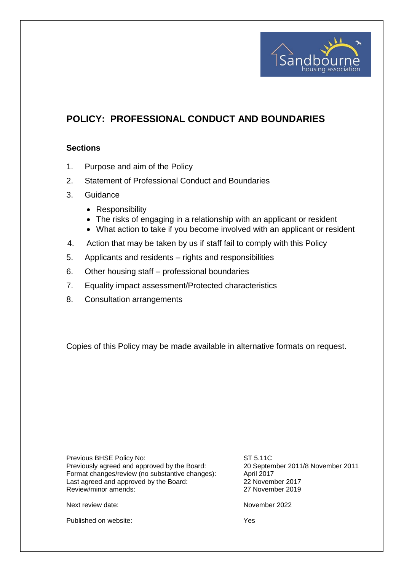

# **POLICY: PROFESSIONAL CONDUCT AND BOUNDARIES**

#### **Sections**

- 1. Purpose and aim of the Policy
- 2. Statement of Professional Conduct and Boundaries
- 3. Guidance
	- Responsibility
	- The risks of engaging in a relationship with an applicant or resident
	- What action to take if you become involved with an applicant or resident
- 4. Action that may be taken by us if staff fail to comply with this Policy
- 5. Applicants and residents rights and responsibilities
- 6. Other housing staff professional boundaries
- 7. Equality impact assessment/Protected characteristics
- 8. Consultation arrangements

Copies of this Policy may be made available in alternative formats on request.

Previous BHSE Policy No:<br>
Previously agreed and approved by the Board: 20 September 2011/8 November 2011 Previously agreed and approved by the Board: 20 Septem<br>Format changes/review (no substantive changes): April 2017 Format changes/review (no substantive changes): April 2017<br>
Last agreed and approved by the Board: 22 November 2017 Last agreed and approved by the Board: Review/minor amends: 27 November 2019

Next review date: November 2022

Published on website: Yes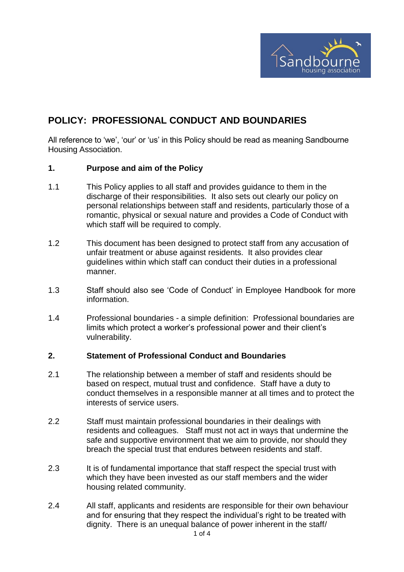

## **POLICY: PROFESSIONAL CONDUCT AND BOUNDARIES**

All reference to 'we', 'our' or 'us' in this Policy should be read as meaning Sandbourne Housing Association.

## **1. Purpose and aim of the Policy**

- 1.1 This Policy applies to all staff and provides guidance to them in the discharge of their responsibilities. It also sets out clearly our policy on personal relationships between staff and residents, particularly those of a romantic, physical or sexual nature and provides a Code of Conduct with which staff will be required to comply.
- 1.2 This document has been designed to protect staff from any accusation of unfair treatment or abuse against residents. It also provides clear guidelines within which staff can conduct their duties in a professional manner.
- 1.3 Staff should also see 'Code of Conduct' in Employee Handbook for more information.
- 1.4 Professional boundaries a simple definition: Professional boundaries are limits which protect a worker's professional power and their client's vulnerability.

#### **2. Statement of Professional Conduct and Boundaries**

- 2.1 The relationship between a member of staff and residents should be based on respect, mutual trust and confidence. Staff have a duty to conduct themselves in a responsible manner at all times and to protect the interests of service users.
- 2.2 Staff must maintain professional boundaries in their dealings with residents and colleagues. Staff must not act in ways that undermine the safe and supportive environment that we aim to provide, nor should they breach the special trust that endures between residents and staff.
- 2.3 It is of fundamental importance that staff respect the special trust with which they have been invested as our staff members and the wider housing related community.
- 2.4 All staff, applicants and residents are responsible for their own behaviour and for ensuring that they respect the individual's right to be treated with dignity. There is an unequal balance of power inherent in the staff/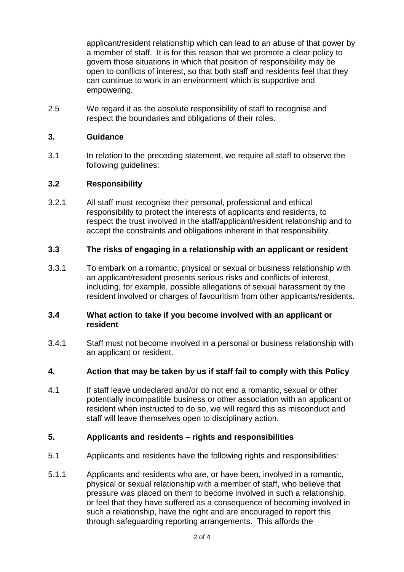applicant/resident relationship which can lead to an abuse of that power by a member of staff. It is for this reason that we promote a clear policy to govern those situations in which that position of responsibility may be open to conflicts of interest, so that both staff and residents feel that they can continue to work in an environment which is supportive and empowering.

2.5 We regard it as the absolute responsibility of staff to recognise and respect the boundaries and obligations of their roles.

## **3. Guidance**

3.1 In relation to the preceding statement, we require all staff to observe the following guidelines:

## **3.2 Responsibility**

3.2.1 All staff must recognise their personal, professional and ethical responsibility to protect the interests of applicants and residents, to respect the trust involved in the staff/applicant/resident relationship and to accept the constraints and obligations inherent in that responsibility.

## **3.3 The risks of engaging in a relationship with an applicant or resident**

3.3.1 To embark on a romantic, physical or sexual or business relationship with an applicant/resident presents serious risks and conflicts of interest, including, for example, possible allegations of sexual harassment by the resident involved or charges of favouritism from other applicants/residents.

#### **3.4 What action to take if you become involved with an applicant or resident**

3.4.1 Staff must not become involved in a personal or business relationship with an applicant or resident.

## **4. Action that may be taken by us if staff fail to comply with this Policy**

4.1 If staff leave undeclared and/or do not end a romantic, sexual or other potentially incompatible business or other association with an applicant or resident when instructed to do so, we will regard this as misconduct and staff will leave themselves open to disciplinary action.

#### **5. Applicants and residents – rights and responsibilities**

- 5.1 Applicants and residents have the following rights and responsibilities:
- 5.1.1 Applicants and residents who are, or have been, involved in a romantic, physical or sexual relationship with a member of staff, who believe that pressure was placed on them to become involved in such a relationship, or feel that they have suffered as a consequence of becoming involved in such a relationship, have the right and are encouraged to report this through safeguarding reporting arrangements. This affords the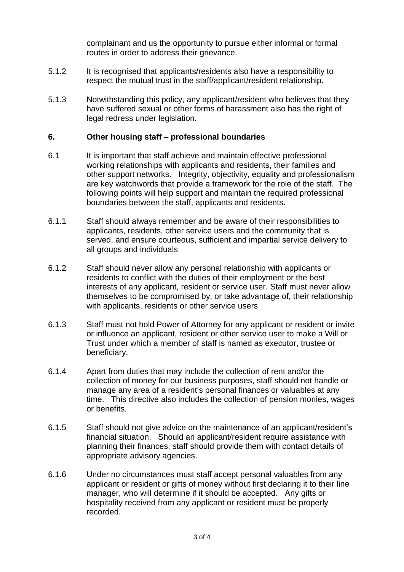complainant and us the opportunity to pursue either informal or formal routes in order to address their grievance.

- 5.1.2 It is recognised that applicants/residents also have a responsibility to respect the mutual trust in the staff/applicant/resident relationship.
- 5.1.3 Notwithstanding this policy, any applicant/resident who believes that they have suffered sexual or other forms of harassment also has the right of legal redress under legislation.

#### **6. Other housing staff – professional boundaries**

- 6.1 It is important that staff achieve and maintain effective professional working relationships with applicants and residents, their families and other support networks. Integrity, objectivity, equality and professionalism are key watchwords that provide a framework for the role of the staff. The following points will help support and maintain the required professional boundaries between the staff, applicants and residents.
- 6.1.1 Staff should always remember and be aware of their responsibilities to applicants, residents, other service users and the community that is served, and ensure courteous, sufficient and impartial service delivery to all groups and individuals
- 6.1.2 Staff should never allow any personal relationship with applicants or residents to conflict with the duties of their employment or the best interests of any applicant, resident or service user. Staff must never allow themselves to be compromised by, or take advantage of, their relationship with applicants, residents or other service users
- 6.1.3 Staff must not hold Power of Attorney for any applicant or resident or invite or influence an applicant, resident or other service user to make a Will or Trust under which a member of staff is named as executor, trustee or beneficiary.
- 6.1.4 Apart from duties that may include the collection of rent and/or the collection of money for our business purposes, staff should not handle or manage any area of a resident's personal finances or valuables at any time. This directive also includes the collection of pension monies, wages or benefits.
- 6.1.5 Staff should not give advice on the maintenance of an applicant/resident's financial situation. Should an applicant/resident require assistance with planning their finances, staff should provide them with contact details of appropriate advisory agencies.
- 6.1.6 Under no circumstances must staff accept personal valuables from any applicant or resident or gifts of money without first declaring it to their line manager, who will determine if it should be accepted. Any gifts or hospitality received from any applicant or resident must be properly recorded.